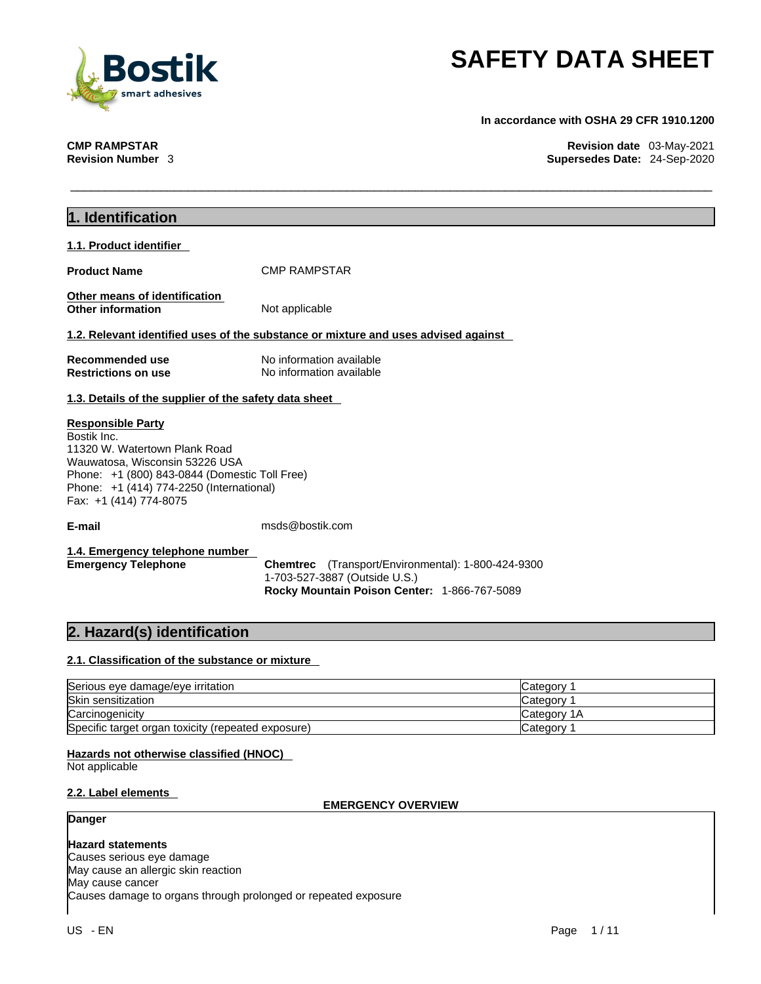

**In accordance with OSHA 29 CFR 1910.1200** 

**CMP RAMPSTAR Revision date** 03-May-2021 **Revision Number** 3 **Supersedes Date:** 24-Sep-2020

| 1. Identification                                     |                                                                                    |             |
|-------------------------------------------------------|------------------------------------------------------------------------------------|-------------|
|                                                       |                                                                                    |             |
| 1.1. Product identifier                               |                                                                                    |             |
| <b>Product Name</b>                                   | <b>CMP RAMPSTAR</b>                                                                |             |
|                                                       |                                                                                    |             |
| Other means of identification                         |                                                                                    |             |
| <b>Other information</b>                              | Not applicable                                                                     |             |
|                                                       | 1.2. Relevant identified uses of the substance or mixture and uses advised against |             |
| Recommended use                                       | No information available                                                           |             |
| <b>Restrictions on use</b>                            | No information available                                                           |             |
|                                                       |                                                                                    |             |
| 1.3. Details of the supplier of the safety data sheet |                                                                                    |             |
| <b>Responsible Party</b>                              |                                                                                    |             |
| Bostik Inc.                                           |                                                                                    |             |
| 11320 W. Watertown Plank Road                         |                                                                                    |             |
| Wauwatosa, Wisconsin 53226 USA                        |                                                                                    |             |
| Phone: +1 (800) 843-0844 (Domestic Toll Free)         |                                                                                    |             |
| Phone: +1 (414) 774-2250 (International)              |                                                                                    |             |
| Fax: +1 (414) 774-8075                                |                                                                                    |             |
| E-mail                                                | msds@bostik.com                                                                    |             |
|                                                       |                                                                                    |             |
| 1.4. Emergency telephone number                       |                                                                                    |             |
| <b>Emergency Telephone</b>                            | <b>Chemtrec</b> (Transport/Environmental): 1-800-424-9300                          |             |
|                                                       | 1-703-527-3887 (Outside U.S.)                                                      |             |
|                                                       | Rocky Mountain Poison Center: 1-866-767-5089                                       |             |
|                                                       |                                                                                    |             |
| 2. Hazard(s) identification                           |                                                                                    |             |
|                                                       |                                                                                    |             |
| 2.1. Classification of the substance or mixture       |                                                                                    |             |
| Serious eye damage/eye irritation                     |                                                                                    | Category 1  |
| Skin sensitization                                    |                                                                                    | Category 1  |
| Carcinogenicity                                       |                                                                                    | Category 1A |
| Specific target organ toxicity (repeated exposure)    |                                                                                    | Category 1  |
|                                                       |                                                                                    |             |
| Hazards not otherwise classified (HNOC)               |                                                                                    |             |

Not applicable

### **2.2. Label elements**

### **EMERGENCY OVERVIEW**

### **Danger**

**Hazard statements** Causes serious eye damage

May cause an allergic skin reaction May cause cancer Causes damage to organs through prolonged or repeated exposure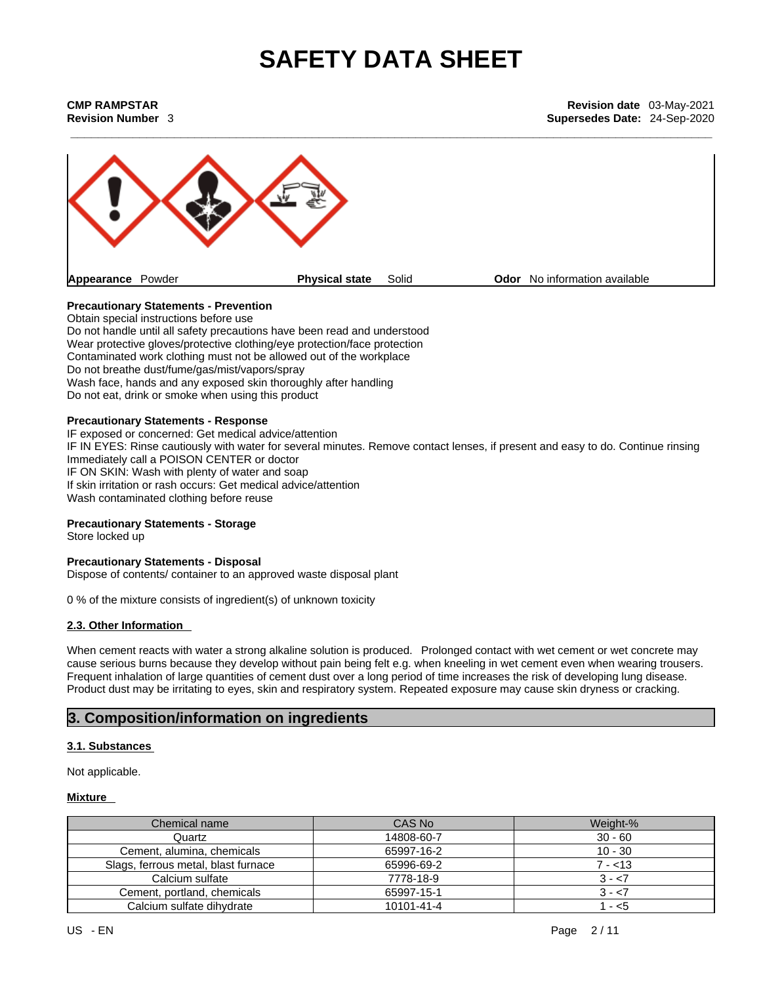| CMP RAMPSTAR           |  |
|------------------------|--|
| <b>Revision Number</b> |  |



### **Precautionary Statements - Prevention**

Obtain special instructions before use Do not handle until all safety precautions have been read and understood Wear protective gloves/protective clothing/eye protection/face protection Contaminated work clothing must not be allowed out of the workplace Do not breathe dust/fume/gas/mist/vapors/spray Wash face, hands and any exposed skin thoroughly after handling Do not eat, drink or smoke when using this product

### **Precautionary Statements - Response**

IF exposed or concerned: Get medical advice/attention IF IN EYES: Rinse cautiously with water for several minutes. Remove contact lenses, if present and easy to do. Continue rinsing Immediately call a POISON CENTER or doctor IF ON SKIN: Wash with plenty of water and soap If skin irritation or rash occurs: Get medical advice/attention Wash contaminated clothing before reuse

### **Precautionary Statements - Storage**

Store locked up

### **Precautionary Statements - Disposal**

Dispose of contents/ container to an approved waste disposal plant

0 % of the mixture consists of ingredient(s) of unknown toxicity

### **2.3. Other Information**

When cement reacts with water a strong alkaline solution is produced. Prolonged contact with wet cement or wet concrete may cause serious burns because they develop without pain being felt e.g. when kneeling in wet cementeven when wearing trousers. Frequent inhalation of large quantities of cement dust over a long period of time increases the risk of developing lung disease. Product dust may be irritating to eyes, skin and respiratory system. Repeated exposure may cause skin dryness or cracking.

### **3. Composition/information on ingredients**

### **3.1. Substances**

Not applicable.

### **Mixture**

| Chemical name                       | CAS No     | Weight-%  |
|-------------------------------------|------------|-----------|
| Quartz                              | 14808-60-7 | $30 - 60$ |
| Cement, alumina, chemicals          | 65997-16-2 | $10 - 30$ |
| Slags, ferrous metal, blast furnace | 65996-69-2 | 7 - <13   |
| Calcium sulfate                     | 7778-18-9  | 3 - <7    |
| Cement, portland, chemicals         | 65997-15-1 | $3 - 57$  |
| Calcium sulfate dihydrate           | 10101-41-4 | - <5      |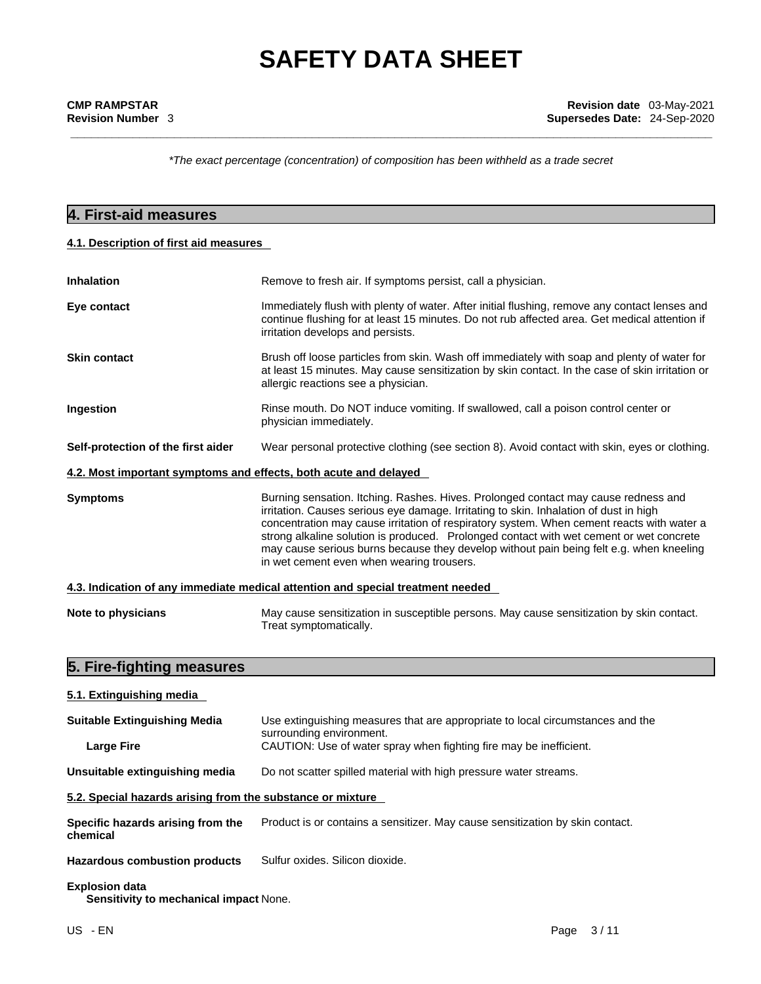*\*The exact percentage (concentration) ofcomposition has been withheld as a trade secret*

### **4. First-aid measures**

### **4.1. Description of first aid measures**

| <b>Inhalation</b>                                                | Remove to fresh air. If symptoms persist, call a physician.                                                                                                                                                                                                                                                                                                                                                                                                                                                 |  |  |  |  |  |
|------------------------------------------------------------------|-------------------------------------------------------------------------------------------------------------------------------------------------------------------------------------------------------------------------------------------------------------------------------------------------------------------------------------------------------------------------------------------------------------------------------------------------------------------------------------------------------------|--|--|--|--|--|
| Eye contact                                                      | Immediately flush with plenty of water. After initial flushing, remove any contact lenses and<br>continue flushing for at least 15 minutes. Do not rub affected area. Get medical attention if<br>irritation develops and persists.                                                                                                                                                                                                                                                                         |  |  |  |  |  |
| <b>Skin contact</b>                                              | Brush off loose particles from skin. Wash off immediately with soap and plenty of water for<br>at least 15 minutes. May cause sensitization by skin contact. In the case of skin irritation or<br>allergic reactions see a physician.                                                                                                                                                                                                                                                                       |  |  |  |  |  |
| Ingestion                                                        | Rinse mouth. Do NOT induce vomiting. If swallowed, call a poison control center or<br>physician immediately.                                                                                                                                                                                                                                                                                                                                                                                                |  |  |  |  |  |
| Self-protection of the first aider                               | Wear personal protective clothing (see section 8). Avoid contact with skin, eyes or clothing.                                                                                                                                                                                                                                                                                                                                                                                                               |  |  |  |  |  |
| 4.2. Most important symptoms and effects, both acute and delayed |                                                                                                                                                                                                                                                                                                                                                                                                                                                                                                             |  |  |  |  |  |
| <b>Symptoms</b>                                                  | Burning sensation. Itching. Rashes. Hives. Prolonged contact may cause redness and<br>irritation. Causes serious eye damage. Irritating to skin. Inhalation of dust in high<br>concentration may cause irritation of respiratory system. When cement reacts with water a<br>strong alkaline solution is produced. Prolonged contact with wet cement or wet concrete<br>may cause serious burns because they develop without pain being felt e.g. when kneeling<br>in wet cement even when wearing trousers. |  |  |  |  |  |
|                                                                  | 4.3. Indication of any immediate medical attention and special treatment needed                                                                                                                                                                                                                                                                                                                                                                                                                             |  |  |  |  |  |
| Note to physicians                                               | May cause sensitization in susceptible persons. May cause sensitization by skin contact.<br>Treat symptomatically.                                                                                                                                                                                                                                                                                                                                                                                          |  |  |  |  |  |

## **5. Fire-fighting measures**

| 5.1. Extinguishing media                                   |                                                                                                            |
|------------------------------------------------------------|------------------------------------------------------------------------------------------------------------|
| <b>Suitable Extinguishing Media</b>                        | Use extinguishing measures that are appropriate to local circumstances and the<br>surrounding environment. |
| <b>Large Fire</b>                                          | CAUTION: Use of water spray when fighting fire may be inefficient.                                         |
| Unsuitable extinguishing media                             | Do not scatter spilled material with high pressure water streams.                                          |
| 5.2. Special hazards arising from the substance or mixture |                                                                                                            |
| Specific hazards arising from the<br>chemical              | Product is or contains a sensitizer. May cause sensitization by skin contact.                              |

**Hazardous combustion products** Sulfur oxides. Silicon dioxide.

### **Explosion data**

**Sensitivity to mechanical impact** None.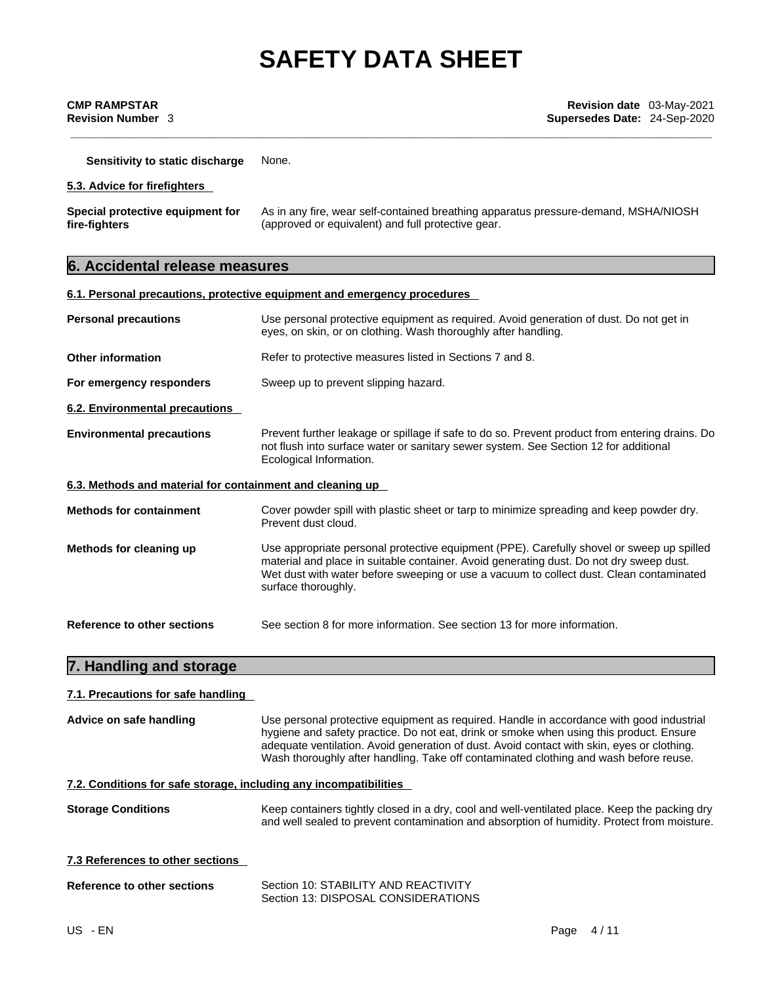**Sensitivity to static discharge** None.

### **5.3. Advice for firefighters**

| Special protective equipment for | As in any fire, wear self-contained breathing apparatus pressure-demand, MSHA/NIOSH |
|----------------------------------|-------------------------------------------------------------------------------------|
| fire-fighters                    | (approved or equivalent) and full protective gear.                                  |

### **6. Accidental release measures**

|                                                           | 6.1. Personal precautions, protective equipment and emergency procedures                                                                                                                                                                                                                               |  |  |  |  |  |  |
|-----------------------------------------------------------|--------------------------------------------------------------------------------------------------------------------------------------------------------------------------------------------------------------------------------------------------------------------------------------------------------|--|--|--|--|--|--|
| <b>Personal precautions</b>                               | Use personal protective equipment as required. Avoid generation of dust. Do not get in<br>eyes, on skin, or on clothing. Wash thoroughly after handling.                                                                                                                                               |  |  |  |  |  |  |
| <b>Other information</b>                                  | Refer to protective measures listed in Sections 7 and 8.                                                                                                                                                                                                                                               |  |  |  |  |  |  |
| For emergency responders                                  | Sweep up to prevent slipping hazard.                                                                                                                                                                                                                                                                   |  |  |  |  |  |  |
| 6.2. Environmental precautions                            |                                                                                                                                                                                                                                                                                                        |  |  |  |  |  |  |
| <b>Environmental precautions</b>                          | Prevent further leakage or spillage if safe to do so. Prevent product from entering drains. Do<br>not flush into surface water or sanitary sewer system. See Section 12 for additional<br>Ecological Information.                                                                                      |  |  |  |  |  |  |
| 6.3. Methods and material for containment and cleaning up |                                                                                                                                                                                                                                                                                                        |  |  |  |  |  |  |
| <b>Methods for containment</b>                            | Cover powder spill with plastic sheet or tarp to minimize spreading and keep powder dry.<br>Prevent dust cloud.                                                                                                                                                                                        |  |  |  |  |  |  |
| Methods for cleaning up                                   | Use appropriate personal protective equipment (PPE). Carefully shovel or sweep up spilled<br>material and place in suitable container. Avoid generating dust. Do not dry sweep dust.<br>Wet dust with water before sweeping or use a vacuum to collect dust. Clean contaminated<br>surface thoroughly. |  |  |  |  |  |  |
| Reference to other sections                               | See section 8 for more information. See section 13 for more information.                                                                                                                                                                                                                               |  |  |  |  |  |  |

## **7. Handling and storage**

### **7.1. Precautions for safe handling**

| Advice on safe handling                                           | Use personal protective equipment as required. Handle in accordance with good industrial<br>hygiene and safety practice. Do not eat, drink or smoke when using this product. Ensure<br>adequate ventilation. Avoid generation of dust. Avoid contact with skin, eyes or clothing.<br>Wash thoroughly after handling. Take off contaminated clothing and wash before reuse. |  |
|-------------------------------------------------------------------|----------------------------------------------------------------------------------------------------------------------------------------------------------------------------------------------------------------------------------------------------------------------------------------------------------------------------------------------------------------------------|--|
| 7.2. Conditions for safe storage, including any incompatibilities |                                                                                                                                                                                                                                                                                                                                                                            |  |
| <b>Storage Conditions</b>                                         | Keep containers tightly closed in a dry, cool and well-ventilated place. Keep the packing dry<br>and well sealed to prevent contamination and absorption of humidity. Protect from moisture.                                                                                                                                                                               |  |

**7.3 References to other sections** 

| Reference to other sections | Section 10: STABILITY AND REACTIVITY |
|-----------------------------|--------------------------------------|
|                             | Section 13: DISPOSAL CONSIDERATIONS  |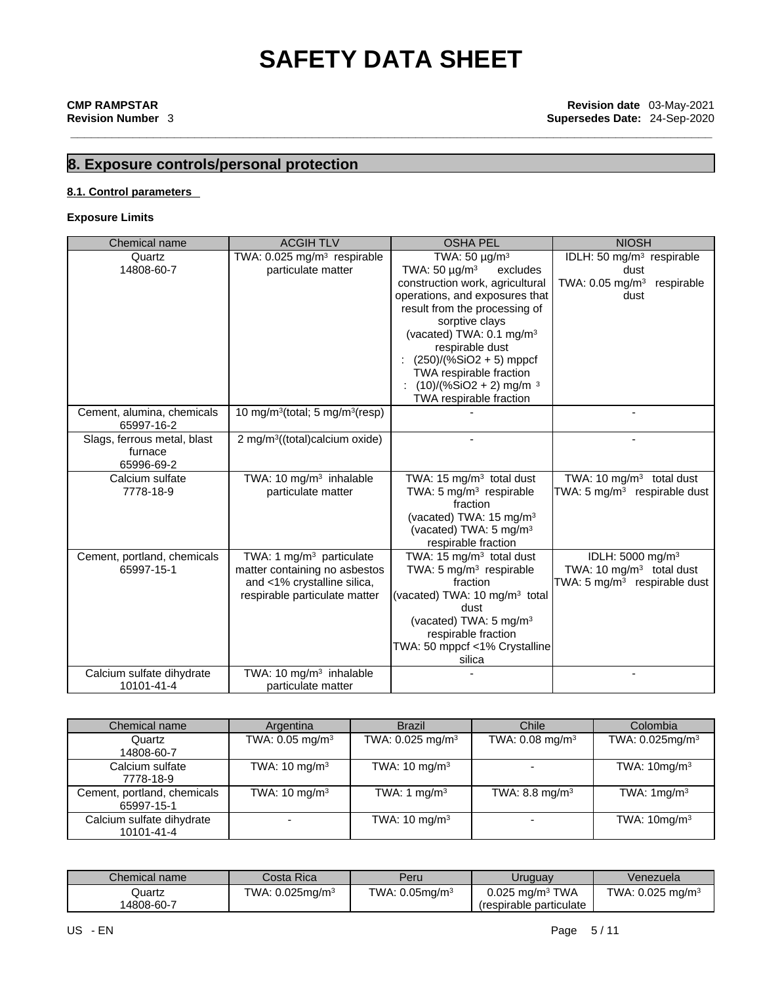## **8. Exposure controls/personal protection**

### **8.1. Control parameters**

### **Exposure Limits**

| Chemical name                            | <b>ACGIHTLV</b>                                         |  | <b>OSHA PEL</b>                      |                                           |      | <b>NIOSH</b>                  |                                          |
|------------------------------------------|---------------------------------------------------------|--|--------------------------------------|-------------------------------------------|------|-------------------------------|------------------------------------------|
| Quartz                                   | TWA: 0.025 mg/m <sup>3</sup> respirable                 |  |                                      | TWA: $50 \mu g/m^3$                       |      |                               | IDLH: 50 mg/m <sup>3</sup> respirable    |
| 14808-60-7                               | particulate matter                                      |  | TWA: $50 \mu g/m^3$                  |                                           | dust |                               |                                          |
|                                          |                                                         |  |                                      | construction work, agricultural           |      | TWA: $0.05$ mg/m <sup>3</sup> | respirable                               |
|                                          |                                                         |  |                                      | operations, and exposures that            |      | dust                          |                                          |
|                                          |                                                         |  |                                      | result from the processing of             |      |                               |                                          |
|                                          |                                                         |  | sorptive clays                       |                                           |      |                               |                                          |
|                                          |                                                         |  |                                      | (vacated) TWA: 0.1 mg/m <sup>3</sup>      |      |                               |                                          |
|                                          |                                                         |  |                                      | respirable dust                           |      |                               |                                          |
|                                          |                                                         |  |                                      | $(250)/(%SiO2 + 5)$ mppcf                 |      |                               |                                          |
|                                          |                                                         |  |                                      | TWA respirable fraction                   |      |                               |                                          |
|                                          |                                                         |  |                                      | $(10)/(%SiO2 + 2)$ mg/m <sup>3</sup>      |      |                               |                                          |
|                                          |                                                         |  |                                      | TWA respirable fraction                   |      |                               |                                          |
| Cement, alumina, chemicals<br>65997-16-2 | 10 mg/m <sup>3</sup> (total; 5 mg/m <sup>3</sup> (resp) |  |                                      |                                           |      |                               |                                          |
| Slags, ferrous metal, blast              | 2 mg/m <sup>3</sup> ((total)calcium oxide)              |  |                                      |                                           |      |                               |                                          |
| furnace                                  |                                                         |  |                                      |                                           |      |                               |                                          |
| 65996-69-2                               |                                                         |  |                                      |                                           |      |                               |                                          |
| Calcium sulfate                          | TWA: 10 mg/m <sup>3</sup> inhalable                     |  | TWA: 15 mg/m <sup>3</sup> total dust |                                           |      |                               | TWA: 10 mg/m <sup>3</sup> total dust     |
| 7778-18-9                                | particulate matter                                      |  | TWA: 5 mg/m <sup>3</sup> respirable  |                                           |      |                               | TWA: 5 mg/m <sup>3</sup> respirable dust |
|                                          |                                                         |  | fraction                             |                                           |      |                               |                                          |
|                                          |                                                         |  |                                      | (vacated) TWA: 15 mg/m <sup>3</sup>       |      |                               |                                          |
|                                          |                                                         |  |                                      | (vacated) TWA: 5 mg/m <sup>3</sup>        |      |                               |                                          |
|                                          |                                                         |  |                                      | respirable fraction                       |      |                               |                                          |
| Cement, portland, chemicals              | TWA: 1 mg/m <sup>3</sup> particulate                    |  | TWA: 15 mg/m $3$ total dust          |                                           |      | IDLH: 5000 mg/m <sup>3</sup>  |                                          |
| 65997-15-1                               | matter containing no asbestos                           |  | TWA: $5 \text{ mg/m}^3$ respirable   |                                           |      |                               | TWA: 10 $mg/m3$ total dust               |
|                                          | and <1% crystalline silica,                             |  | fraction                             |                                           |      |                               | TWA: 5 mg/m <sup>3</sup> respirable dust |
|                                          | respirable particulate matter                           |  |                                      | (vacated) TWA: 10 mg/m <sup>3</sup> total |      |                               |                                          |
|                                          |                                                         |  |                                      | dust                                      |      |                               |                                          |
|                                          | (vacated) TWA: $5 \text{ mg/m}^3$                       |  |                                      |                                           |      |                               |                                          |
|                                          |                                                         |  | respirable fraction                  |                                           |      |                               |                                          |
|                                          |                                                         |  |                                      | TWA: 50 mppcf <1% Crystalline             |      |                               |                                          |
|                                          |                                                         |  |                                      | silica                                    |      |                               |                                          |
| Calcium sulfate dihydrate                | TWA: 10 mg/m <sup>3</sup> inhalable                     |  |                                      |                                           |      |                               |                                          |
| 10101-41-4                               | particulate matter                                      |  |                                      |                                           |      |                               |                                          |
|                                          |                                                         |  |                                      |                                           |      |                               |                                          |
| Chemical name                            | Argentina                                               |  | <b>Brazil</b>                        | Chile                                     |      |                               | Colombia                                 |
|                                          |                                                         |  |                                      |                                           |      |                               |                                          |

| Chemical name                             | Argentina                     | <b>Brazil</b>                | Chile                         | Colombia                    |
|-------------------------------------------|-------------------------------|------------------------------|-------------------------------|-----------------------------|
| Quartz<br>14808-60-7                      | TWA: $0.05$ mg/m <sup>3</sup> | TWA: 0.025 mg/m <sup>3</sup> | TWA: $0.08$ mg/m <sup>3</sup> | TWA: 0.025mg/m <sup>3</sup> |
| Calcium sulfate<br>7778-18-9              | TWA: $10 \text{ mg/m}^3$      | TWA: $10 \text{ mg/m}^3$     |                               | TWA: $10$ mg/m <sup>3</sup> |
| Cement, portland, chemicals<br>65997-15-1 | TWA: $10 \text{ mg/m}^3$      | TWA: 1 mg/m <sup>3</sup>     | TWA: 8.8 mg/m <sup>3</sup>    | TWA: $1mg/m3$               |
| Calcium sulfate dihydrate<br>10101-41-4   |                               | TWA: $10 \text{ mg/m}^3$     |                               | TWA: $10mg/m3$              |

| Chemical name | Costa Rica                  | Peru                 | <b>Jruguay</b>                | Venezuela                      |
|---------------|-----------------------------|----------------------|-------------------------------|--------------------------------|
| Quartz        | TWA: 0.025mg/m <sup>3</sup> | TWA: $0.05$ mg/m $3$ | $0.025$ mg/m <sup>3</sup> TWA | TWA: $0.025$ mg/m <sup>3</sup> |
| 14808-60-7    |                             |                      | respirable particulate        |                                |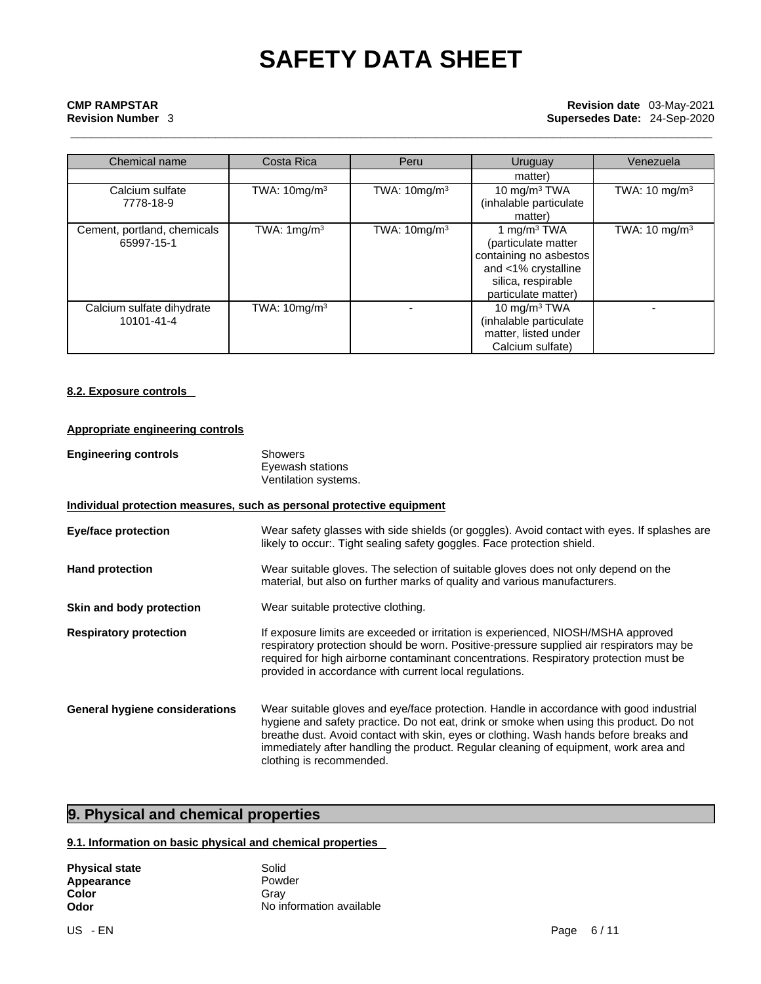## **CMP RAMPSTAR**<br> **Revision date** 03-May-2021<br> **Revision date** 03-May-2021<br> **Revision date** 03-May-2021 **Revision Number** 3 **Supersedes Date:** 24-Sep-2020

| Chemical name                             | Costa Rica             | Peru           | Uruguay                                                                                                                             | Venezuela                 |
|-------------------------------------------|------------------------|----------------|-------------------------------------------------------------------------------------------------------------------------------------|---------------------------|
|                                           |                        |                | matter)                                                                                                                             |                           |
| Calcium sulfate<br>7778-18-9              | TWA: $10mg/m3$         | TWA: $10mg/m3$ | 10 mg/m <sup>3</sup> TWA<br>(inhalable particulate<br>matter)                                                                       | TWA: $10 \text{ mg/m}^3$  |
| Cement, portland, chemicals<br>65997-15-1 | TWA: $1 \text{mg/m}^3$ | TWA: $10mg/m3$ | 1 mg/m $3$ TWA<br>(particulate matter<br>containing no asbestos<br>and <1% crystalline<br>silica, respirable<br>particulate matter) | TWA: 10 mg/m <sup>3</sup> |
| Calcium sulfate dihydrate<br>10101-41-4   | TWA: $10mg/m3$         |                | 10 mg/m $3$ TWA<br>(inhalable particulate<br>matter, listed under<br>Calcium sulfate)                                               |                           |

### **8.2. Exposure controls**

### **Appropriate engineering controls**

| <b>Engineering controls</b> | Showers              |
|-----------------------------|----------------------|
|                             | Eyewash stations     |
|                             | Ventilation systems. |

### **Individual protection measures, such as personal protective equipment**

**Eye/face protection** Wear safety glasses with side shields (or goggles). Avoid contact with eyes. If splashes are likely to occur:. Tight sealing safety goggles. Face protection shield. **Hand protection** Wear suitable gloves. The selection of suitable gloves does not only depend on the material, but also on further marks of quality and various manufacturers.

- **Skin and body protection** Wear suitable protective clothing.
- **Respiratory protection** If exposure limits are exceeded or irritation is experienced, NIOSH/MSHA approved respiratory protection should be worn. Positive-pressure supplied air respirators may be required for high airborne contaminant concentrations. Respiratory protection must be provided in accordance with current local regulations.

**General hygiene considerations** Wear suitable gloves and eye/face protection. Handle in accordance with good industrial hygiene and safety practice. Do not eat, drink or smoke when using this product. Do not breathe dust. Avoid contact with skin, eyes or clothing. Wash hands before breaks and immediately after handling the product. Regular cleaning of equipment, work area and clothing is recommended.

### **9. Physical and chemical properties**

### **9.1. Information on basic physical and chemical properties**

| <b>Physical state</b> | Solid                    |
|-----------------------|--------------------------|
| Appearance            | Powder                   |
| Color                 | Grav                     |
| Odor                  | No information available |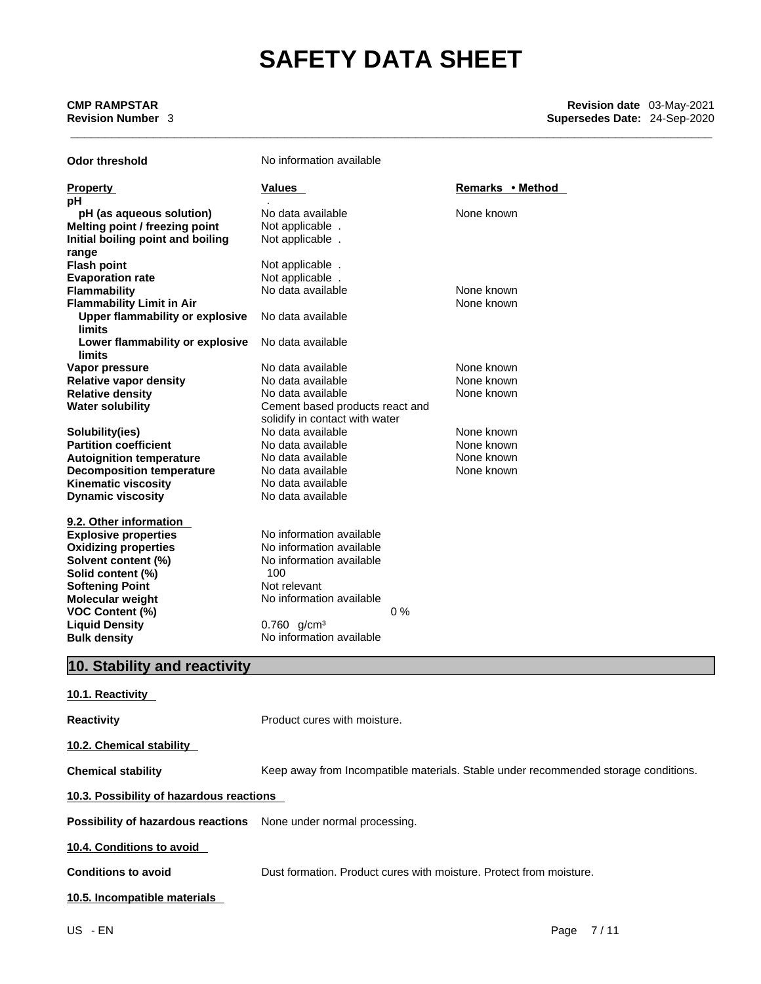**CMP RAMPSTAR**<br> **Revision date** 03-May-2021<br> **Revision date** 03-May-2021<br> **Revision date** 03-May-2021 **Revision Number** 3 **Supersedes Date:** 24-Sep-2020

| <b>Odor threshold</b>             | No information available        |                  |
|-----------------------------------|---------------------------------|------------------|
| <b>Property</b>                   | Values                          | Remarks • Method |
| рH                                |                                 |                  |
| pH (as aqueous solution)          | No data available               | None known       |
| Melting point / freezing point    | Not applicable.                 |                  |
| Initial boiling point and boiling | Not applicable.                 |                  |
| range                             |                                 |                  |
| <b>Flash point</b>                | Not applicable.                 |                  |
| <b>Evaporation rate</b>           | Not applicable.                 |                  |
| <b>Flammability</b>               | No data available               | None known       |
| <b>Flammability Limit in Air</b>  |                                 | None known       |
| Upper flammability or explosive   | No data available               |                  |
| <b>limits</b>                     |                                 |                  |
| Lower flammability or explosive   | No data available               |                  |
| <b>limits</b>                     |                                 |                  |
| Vapor pressure                    | No data available               | None known       |
| <b>Relative vapor density</b>     | No data available               | None known       |
| <b>Relative density</b>           | No data available               | None known       |
| <b>Water solubility</b>           | Cement based products react and |                  |
|                                   | solidify in contact with water  |                  |
| Solubility(ies)                   | No data available               | None known       |
| <b>Partition coefficient</b>      | No data available               | None known       |
| <b>Autoignition temperature</b>   | No data available               | None known       |
| <b>Decomposition temperature</b>  | No data available               | None known       |
| <b>Kinematic viscosity</b>        | No data available               |                  |
| <b>Dynamic viscosity</b>          | No data available               |                  |
| 9.2. Other information            |                                 |                  |
| <b>Explosive properties</b>       | No information available        |                  |
| <b>Oxidizing properties</b>       | No information available        |                  |
| Solvent content (%)               | No information available        |                  |
| Solid content (%)                 | 100                             |                  |
| <b>Softening Point</b>            | Not relevant                    |                  |
| <b>Molecular weight</b>           | No information available        |                  |
| <b>VOC Content (%)</b>            |                                 | $0\%$            |
| <b>Liquid Density</b>             | $0.760$ g/cm <sup>3</sup>       |                  |
| <b>Bulk density</b>               | No information available        |                  |
|                                   |                                 |                  |

## **10. Stability and reactivity**

| 10.1. Reactivity                                                        |                                                                                     |
|-------------------------------------------------------------------------|-------------------------------------------------------------------------------------|
| <b>Reactivity</b>                                                       | Product cures with moisture.                                                        |
| 10.2. Chemical stability                                                |                                                                                     |
| <b>Chemical stability</b>                                               | Keep away from Incompatible materials. Stable under recommended storage conditions. |
| 10.3. Possibility of hazardous reactions                                |                                                                                     |
| <b>Possibility of hazardous reactions</b> None under normal processing. |                                                                                     |
| 10.4. Conditions to avoid                                               |                                                                                     |
| <b>Conditions to avoid</b>                                              | Dust formation. Product cures with moisture. Protect from moisture.                 |
| 10.5. Incompatible materials                                            |                                                                                     |
|                                                                         |                                                                                     |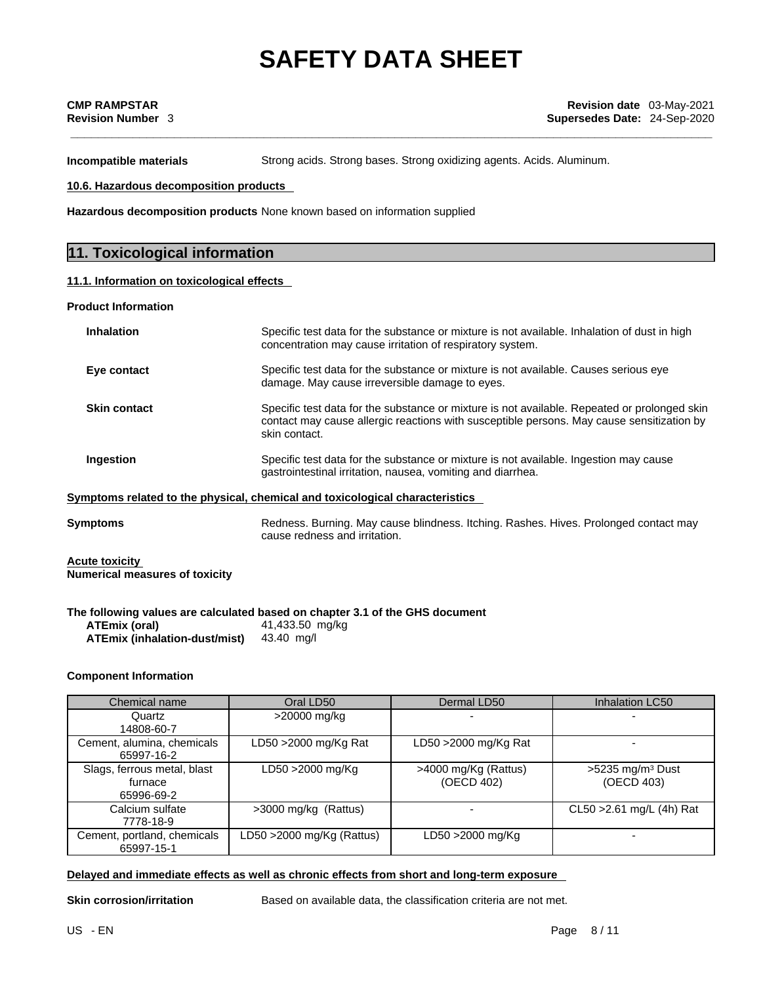**Incompatible materials** Strong acids. Strong bases. Strong oxidizing agents. Acids. Aluminum.

**10.6. Hazardous decomposition products** 

**Hazardous decomposition products** None known based on information supplied

### **11. Toxicological information**

### **11.1. Information on toxicologicaleffects**

**Product Information**

| <b>Inhalation</b>      | Specific test data for the substance or mixture is not available. Inhalation of dust in high<br>concentration may cause irritation of respiratory system.                                                  |
|------------------------|------------------------------------------------------------------------------------------------------------------------------------------------------------------------------------------------------------|
| Eye contact            | Specific test data for the substance or mixture is not available. Causes serious eye<br>damage. May cause irreversible damage to eyes.                                                                     |
| <b>Skin contact</b>    | Specific test data for the substance or mixture is not available. Repeated or prolonged skin<br>contact may cause allergic reactions with susceptible persons. May cause sensitization by<br>skin contact. |
| Ingestion              | Specific test data for the substance or mixture is not available. Ingestion may cause<br>gastrointestinal irritation, nausea, vomiting and diarrhea.                                                       |
|                        | Symptoms related to the physical, chemical and toxicological characteristics                                                                                                                               |
| $P_1$ can in the sense | Deduces, Dumina, Mau seuse kliedwese, Italiaa, Deskas, Hiuse, Duslemaad sentsat meur                                                                                                                       |

**Symptoms Redness. Burning. May cause blindness. Itching. Rashes. Hives. Prolonged contact may** cause redness and irritation.

**Acute toxicity Numerical measures of toxicity**

### **The following values are calculated based on chapter 3.1 of the GHS document**

**ATEmix (oral)** 41,433.50 mg/kg **ATEmix (inhalation-dust/mist)** 43.40 mg/l

### **Component Information**

| Chemical name                                        | Oral LD50                  | Dermal LD50                        | Inhalation LC50                              |
|------------------------------------------------------|----------------------------|------------------------------------|----------------------------------------------|
| Quartz<br>14808-60-7                                 | >20000 mg/kg               |                                    |                                              |
| Cement, alumina, chemicals<br>65997-16-2             | LD50 >2000 mg/Kg Rat       | LD50 $>$ 2000 mg/Kg Rat            |                                              |
| Slags, ferrous metal, blast<br>furnace<br>65996-69-2 | LD50 >2000 mg/Kg           | >4000 mg/Kg (Rattus)<br>(OECD 402) | $>5235$ mg/m <sup>3</sup> Dust<br>(OECD 403) |
| Calcium sulfate<br>7778-18-9                         | >3000 mg/kg (Rattus)       |                                    | $CL50 > 2.61$ mg/L (4h) Rat                  |
| Cement, portland, chemicals<br>65997-15-1            | LD50 > 2000 mg/Kg (Rattus) | LD50 >2000 mg/Kg                   |                                              |

### **Delayed and immediate effects as well as chronic effects from short and long-term exposure**

**Skin corrosion/irritation** Based on available data, the classification criteria are not met.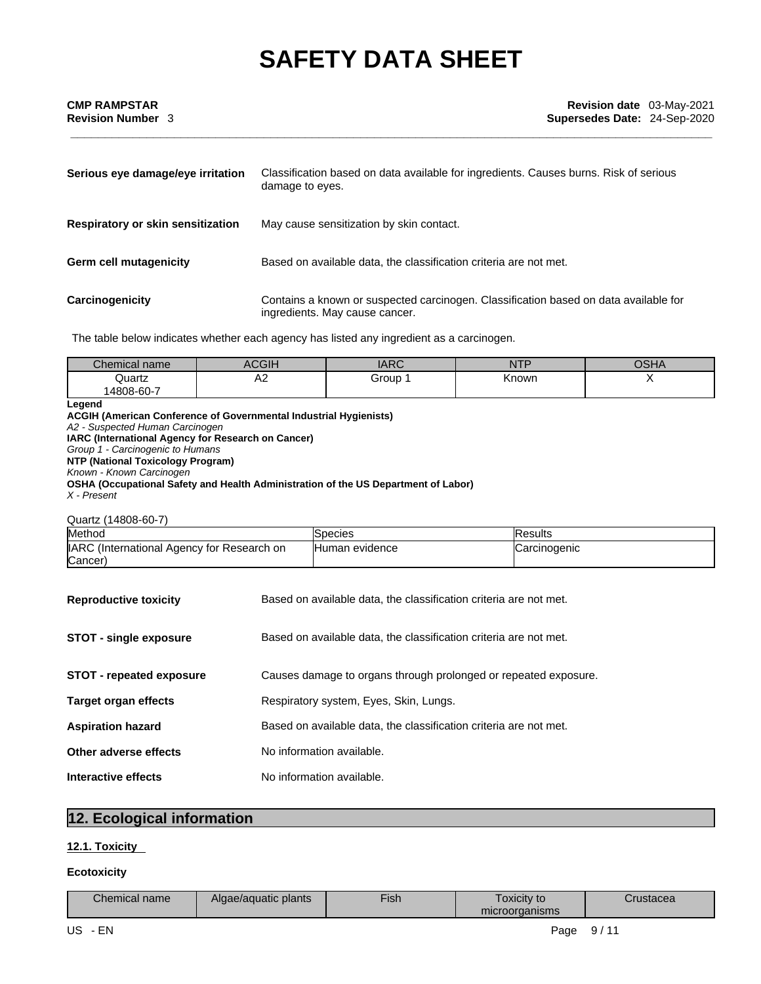| Serious eye damage/eye irritation | Classification based on data available for ingredients. Causes burns. Risk of serious<br>damage to eyes.               |
|-----------------------------------|------------------------------------------------------------------------------------------------------------------------|
| Respiratory or skin sensitization | May cause sensitization by skin contact.                                                                               |
| <b>Germ cell mutagenicity</b>     | Based on available data, the classification criteria are not met.                                                      |
| Carcinogenicity                   | Contains a known or suspected carcinogen. Classification based on data available for<br>ingredients. May cause cancer. |

The table below indicates whether each agency has listed any ingredient as a carcinogen.

| Chemical name | $\sim$ $\sim$ $\sim$  | $\overline{AD}$<br>ט נורעו | <b>THE R. P. LEWIS.</b><br>. | $\sim$<br>ַ <i>ו</i> רוכי |
|---------------|-----------------------|----------------------------|------------------------------|---------------------------|
| Quartz        | $\Lambda$ $\sim$<br>∼ | Group                      | Known                        | . .                       |
| 14808-60-7    |                       |                            |                              |                           |

### **Legend**

**ACGIH (American Conference of Governmental Industrial Hygienists)** *A2 - Suspected Human Carcinogen*  **IARC (International Agency for Research on Cancer)** *Group 1 - Carcinogenic to Humans*  **NTP (National Toxicology Program)** *Known - Known Carcinogen*  **OSHA (Occupational Safety and Health Administration of the US Department of Labor)** *X - Present* 

### Quartz (14808-60-7)

| Method                                     | ISpecies               | <b>Results</b> |
|--------------------------------------------|------------------------|----------------|
| IARC (International Agency for Research on | <b>IHuman evidence</b> | ICarcinogenic  |
| (Cancer                                    |                        |                |

| <b>Reproductive toxicity</b>    | Based on available data, the classification criteria are not met. |
|---------------------------------|-------------------------------------------------------------------|
| <b>STOT - single exposure</b>   | Based on available data, the classification criteria are not met. |
| <b>STOT - repeated exposure</b> | Causes damage to organs through prolonged or repeated exposure.   |
| <b>Target organ effects</b>     | Respiratory system, Eyes, Skin, Lungs.                            |
| <b>Aspiration hazard</b>        | Based on available data, the classification criteria are not met. |
| Other adverse effects           | No information available.                                         |
| Interactive effects             | No information available.                                         |

## **12. Ecological information**

### **12.1. Toxicity**

### **Ecotoxicity**

| Chemical i<br>name | $\sim$ $\sim$<br>plants<br>Alaa<br>evaduatic. | --<br>∙ish | ⊺oxicit∨ to<br>microorganisms | Jusiacea |
|--------------------|-----------------------------------------------|------------|-------------------------------|----------|
|--------------------|-----------------------------------------------|------------|-------------------------------|----------|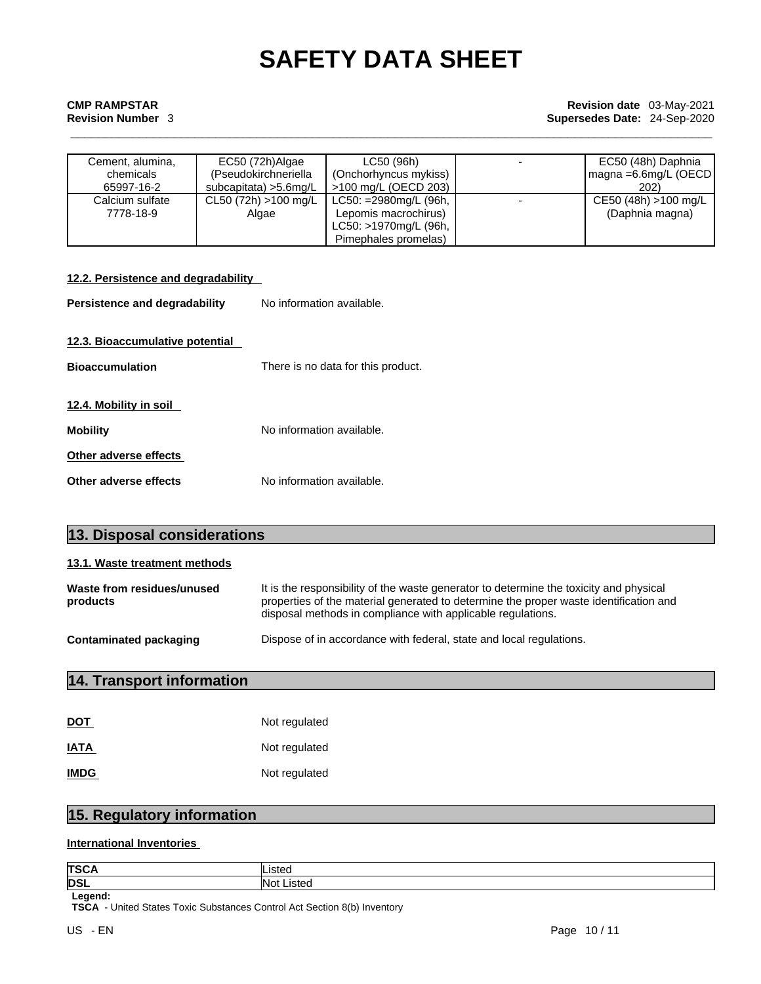## **CMP RAMPSTAR**<br> **Revision date** 03-May-2021<br> **Revision date** 03-May-2021<br> **Revision date** 03-May-2021 **Revision Number** 3 **Supersedes Date:** 24-Sep-2020

| Cement, alumina, | EC50 (72h)Algae         | LC50 (96h)            | EC50 (48h) Daphnia                   |
|------------------|-------------------------|-----------------------|--------------------------------------|
| chemicals        | (Pseudokirchneriella    | (Onchorhyncus mykiss) | $\vert$ magna =6.6mg/L (OECD $\vert$ |
| 65997-16-2       | subcapitata) > 5.6 mg/L | >100 mg/L (OECD 203)  | 202)                                 |
| Calcium sulfate  | CL50 (72h) >100 mg/L    | LC50: =2980mg/L (96h, | CE50 (48h) >100 mg/L                 |
| 7778-18-9        | Algae                   | Lepomis macrochirus)  | (Daphnia magna)                      |
|                  |                         | LC50: >1970mg/L (96h, |                                      |
|                  |                         | Pimephales promelas)  |                                      |

| 12.2. Persistence and degradability |                                    |
|-------------------------------------|------------------------------------|
| Persistence and degradability       | No information available.          |
| 12.3. Bioaccumulative potential     |                                    |
| <b>Bioaccumulation</b>              | There is no data for this product. |
| 12.4. Mobility in soil              |                                    |
| <b>Mobility</b>                     | No information available.          |
| Other adverse effects               |                                    |
| Other adverse effects               | No information available.          |

| 13.1. Waste treatment methods                                                                 |                                                                                                                                                                                                                                                |
|-----------------------------------------------------------------------------------------------|------------------------------------------------------------------------------------------------------------------------------------------------------------------------------------------------------------------------------------------------|
| Waste from residues/unused<br>products                                                        | It is the responsibility of the waste generator to determine the toxicity and physical<br>properties of the material generated to determine the proper waste identification and<br>disposal methods in compliance with applicable regulations. |
| Dispose of in accordance with federal, state and local regulations.<br>Contaminated packaging |                                                                                                                                                                                                                                                |

## **14. Transport information**

**13. Disposal considerations** 

| <b>DOT</b>  | Not regulated |
|-------------|---------------|
| <b>IATA</b> | Not regulated |
| <b>IMDG</b> | Not regulated |

## **15. Regulatory information**

### **International Inventories**

| <b>TSCA</b> | .istec        |
|-------------|---------------|
| <b>DSL</b>  | Not<br>_istec |
| Legend:     |               |

**TSCA** - United States Toxic Substances Control Act Section 8(b) Inventory